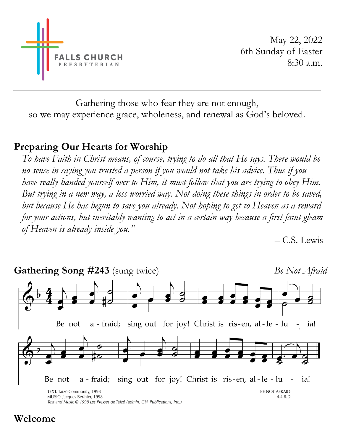

Gathering those who fear they are not enough, so we may experience grace, wholeness, and renewal as God's beloved.

# **Preparing Our Hearts for Worship**

*To have Faith in Christ means, of course, trying to do all that He says. There would be no sense in saying you trusted a person if you would not take his advice. Thus if you have really handed yourself over to Him, it must follow that you are trying to obey Him. But trying in a new way, a less worried way. Not doing these things in order to be saved, but because He has begun to save you already. Not hoping to get to Heaven as a reward for your actions, but inevitably wanting to act in a certain way because a first faint gleam of Heaven is already inside you."*

– C.S. Lewis



#### **Welcome**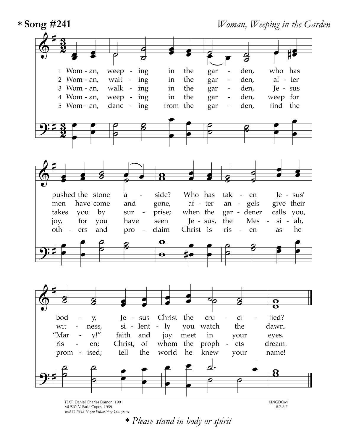

**\*** *Please stand in body or spirit*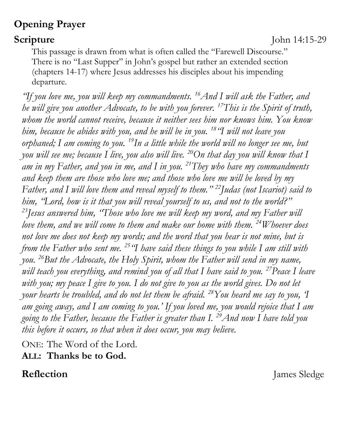# **Opening Prayer**

**Scripture** John 14:15-29

This passage is drawn from what is often called the "Farewell Discourse." There is no "Last Supper" in John's gospel but rather an extended section (chapters 14-17) where Jesus addresses his disciples about his impending departure.

*"If you love me, you will keep my commandments. <sup>16</sup>And I will ask the Father, and he will give you another Advocate, to be with you forever. <sup>17</sup>This is the Spirit of truth, whom the world cannot receive, because it neither sees him nor knows him. You know him, because he abides with you, and he will be in you. <sup>18</sup> "I will not leave you orphaned; I am coming to you. <sup>19</sup>In a little while the world will no longer see me, but you will see me; because I live, you also will live. <sup>20</sup>On that day you will know that I am in my Father, and you in me, and I in you. <sup>21</sup>They who have my commandments and keep them are those who love me; and those who love me will be loved by my Father, and I will love them and reveal myself to them." <sup>22</sup>Judas (not Iscariot) said to him, "Lord, how is it that you will reveal yourself to us, and not to the world?" <sup>23</sup>Jesus answered him, "Those who love me will keep my word, and my Father will love them, and we will come to them and make our home with them. <sup>24</sup>Whoever does*  not love me does not keep my words; and the word that you hear is not mine, but is *from the Father who sent me. <sup>25</sup> "I have said these things to you while I am still with you. <sup>26</sup>But the Advocate, the Holy Spirit, whom the Father will send in my name, will teach you everything, and remind you of all that I have said to you. <sup>27</sup>Peace I leave*  with you; my peace I give to you. I do not give to you as the world gives. Do not let *your hearts be troubled, and do not let them be afraid. <sup>28</sup>You heard me say to you, 'I am going away, and I am coming to you.' If you loved me, you would rejoice that I am going to the Father, because the Father is greater than I. <sup>29</sup>And now I have told you this before it occurs, so that when it does occur, you may believe.* 

ONE: The Word of the Lord.

**ALL: Thanks be to God.**

**Reflection** James Sledge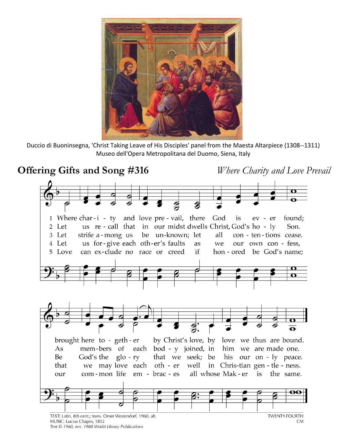

Duccio di Buoninsegna, 'Christ Taking Leave of His Disciples' panel from the Maesta Altarpiece (1308--1311) Museo dell'Opera Metropolitana del Duomo, Siena, Italy



Text © 1960, ren. 1988 World Library Publications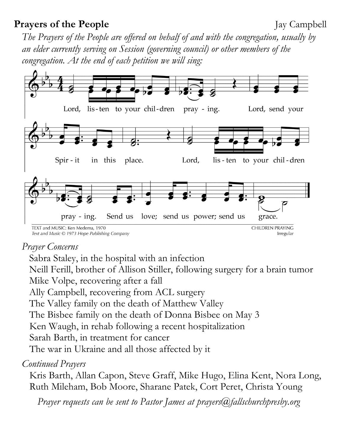# **Prayers of the People** Jay Campbell

*The Prayers of the People are offered on behalf of and with the congregation, usually by an elder currently serving on Session (governing council) or other members of the congregation. At the end of each petition we will sing:* 



#### *Prayer Concerns*

Sabra Staley, in the hospital with an infection

Neill Ferill, brother of Allison Stiller, following surgery for a brain tumor Mike Volpe, recovering after a fall

Ally Campbell, recovering from ACL surgery

The Valley family on the death of Matthew Valley

The Bisbee family on the death of Donna Bisbee on May 3

Ken Waugh, in rehab following a recent hospitalization

Sarah Barth, in treatment for cancer

The war in Ukraine and all those affected by it

#### *Continued Prayers*

Kris Barth, Allan Capon, Steve Graff, Mike Hugo, Elina Kent, Nora Long, Ruth Mileham, Bob Moore, Sharane Patek, Cort Peret, Christa Young

*Prayer requests can be sent to Pastor James at [prayers@fallschurchpresby.org](mailto:prayers@fallschurchpresby.org)*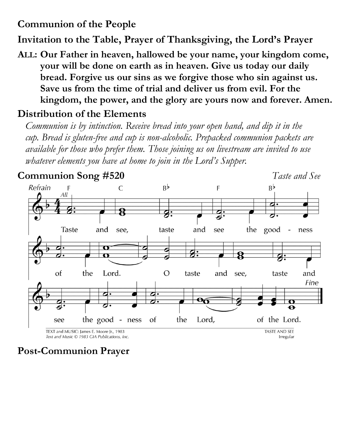### **Communion of the People**

**Invitation to the Table, Prayer of Thanksgiving, the Lord's Prayer**

**ALL: Our Father in heaven, hallowed be your name, your kingdom come, your will be done on earth as in heaven. Give us today our daily bread. Forgive us our sins as we forgive those who sin against us. Save us from the time of trial and deliver us from evil. For the kingdom, the power, and the glory are yours now and forever. Amen.**

#### **Distribution of the Elements**

*Communion is by intinction. Receive bread into your open hand, and dip it in the cup. Bread is gluten-free and cup is non-alcoholic. Prepacked communion packets are available for those who prefer them. Those joining us on livestream are invited to use whatever elements you have at home to join in the Lord's Supper.*



**Post-Communion Prayer**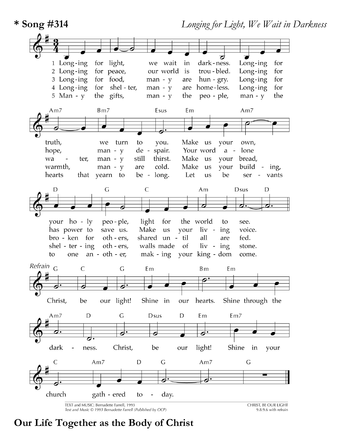

**Our Life Together as the Body of Christ**